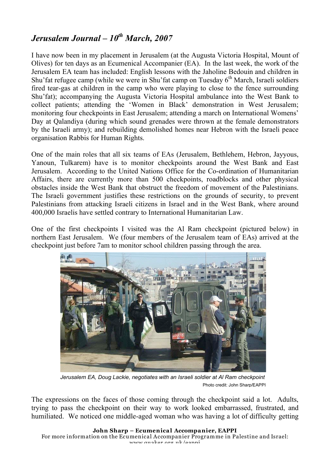## *Jerusalem Journal – 10th March, 2007*

I have now been in my placement in Jerusalem (at the Augusta Victoria Hospital, Mount of Olives) for ten days as an Ecumenical Accompanier (EA). In the last week, the work of the Jerusalem EA team has included: English lessons with the Jaholine Bedouin and children in Shu'fat refugee camp (while we were in Shu'fat camp on Tuesday  $6<sup>th</sup>$  March, Israeli soldiers fired tear-gas at children in the camp who were playing to close to the fence surrounding Shu'fat); accompanying the Augusta Victoria Hospital ambulance into the West Bank to collect patients; attending the 'Women in Black' demonstration in West Jerusalem; monitoring four checkpoints in East Jerusalem; attending a march on International Womens' Day at Qalandiya (during which sound grenades were thrown at the female demonstrators by the Israeli army); and rebuilding demolished homes near Hebron with the Israeli peace organisation Rabbis for Human Rights.

One of the main roles that all six teams of EAs (Jerusalem, Bethlehem, Hebron, Jayyous, Yanoun, Tulkarem) have is to monitor checkpoints around the West Bank and East Jerusalem. According to the United Nations Office for the Co-ordination of Humanitarian Affairs, there are currently more than 500 checkpoints, roadblocks and other physical obstacles inside the West Bank that obstruct the freedom of movement of the Palestinians. The Israeli government justifies these restrictions on the grounds of security, to prevent Palestinians from attacking Israeli citizens in Israel and in the West Bank, where around 400,000 Israelis have settled contrary to International Humanitarian Law.

One of the first checkpoints I visited was the Al Ram checkpoint (pictured below) in northern East Jerusalem. We (four members of the Jerusalem team of EAs) arrived at the checkpoint just before 7am to monitor school children passing through the area.



*Jerusalem EA, Doug Lackie, negotiates with an Israeli soldier at Al Ram checkpoint* Photo credit: John Sharp/EAPPI

The expressions on the faces of those coming through the checkpoint said a lot. Adults, trying to pass the checkpoint on their way to work looked embarrassed, frustrated, and humiliated. We noticed one middle-aged woman who was having a lot of difficulty getting

**John Sharp – Ecumenical Accompanier, EAPPI** For more information on the Ecumenical Accompanier Programme in Palestine and Israel: www.quaker.org.uk/eappi